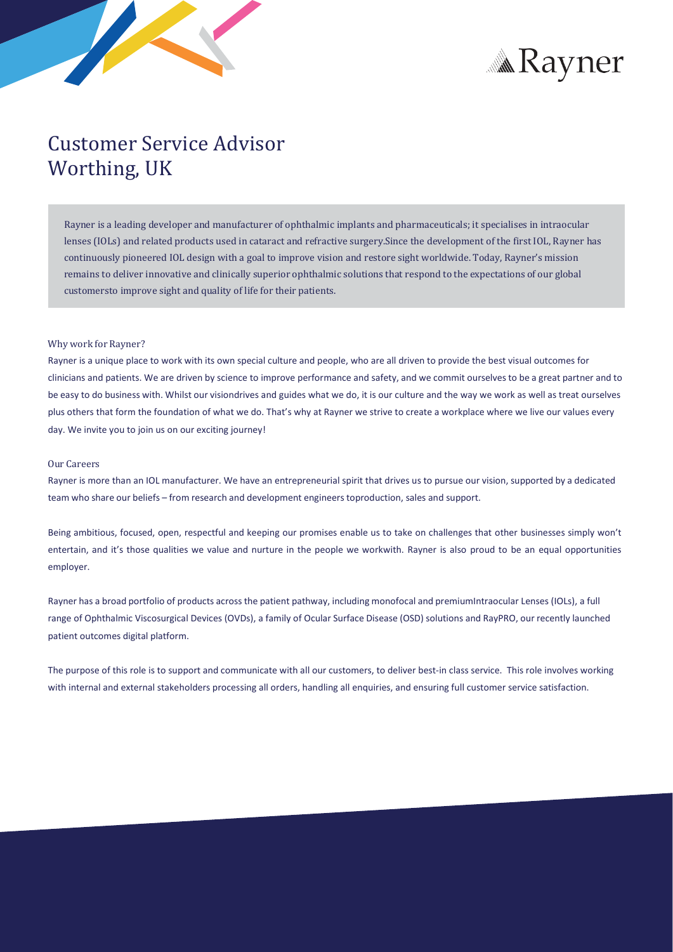



# Customer Service Advisor Worthing, UK

Rayner is a leading developer and manufacturer of ophthalmic implants and pharmaceuticals; it specialises in intraocular lenses (IOLs) and related products used in cataract and refractive surgery.Since the development of the first IOL, Rayner has continuously pioneered IOL design with a goal to improve vision and restore sight worldwide. Today, Rayner's mission remains to deliver innovative and clinically superior ophthalmic solutions that respond to the expectations of our global customersto improve sight and quality of life for their patients.

## Why work for Rayner?

Rayner is a unique place to work with its own special culture and people, who are all driven to provide the best visual outcomes for clinicians and patients. We are driven by science to improve performance and safety, and we commit ourselves to be a great partner and to be easy to do business with. Whilst our visiondrives and guides what we do, it is our culture and the way we work as well as treat ourselves plus others that form the foundation of what we do. That's why at Rayner we strive to create a workplace where we live our values every day. We invite you to join us on our exciting journey!

## Our Careers

Rayner is more than an IOL manufacturer. We have an entrepreneurial spirit that drives us to pursue our vision, supported by a dedicated team who share our beliefs – from research and development engineerstoproduction, sales and support.

Being ambitious, focused, open, respectful and keeping our promises enable us to take on challenges that other businesses simply won't entertain, and it's those qualities we value and nurture in the people we workwith. Rayner is also proud to be an equal opportunities employer.

Rayner has a broad portfolio of products acrossthe patient pathway, including monofocal and premiumIntraocular Lenses (IOLs), a full range of Ophthalmic Viscosurgical Devices (OVDs), a family of Ocular Surface Disease (OSD) solutions and RayPRO, our recently launched patient outcomes digital platform.

The purpose of this role is to support and communicate with all our customers, to deliver best-in class service. This role involves working with internal and external stakeholders processing all orders, handling all enquiries, and ensuring full customer service satisfaction.